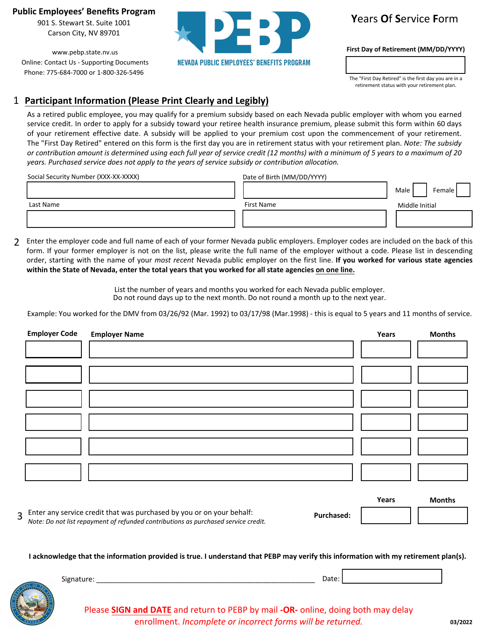**Public Employees' Benefits Program**

901 S. Stewart St. Suite 1001 Carson City, NV 89701

www.pebp.state.nv.us Online: Contact Us - Supporting Documents Phone: 775-684-7000 or 1-800-326-5496



## **Y**ears **O**f **S**ervice **F**orm

**First Day of Retirement (MM/DD/YYYY)**

The "First Day Retired" is the first day you are in a retirement status with your retirement plan.

## 1 **Participant Information (Please Print Clearly and Legibly)**

As a retired public employee, you may qualify for a premium subsidy based on each Nevada public employer with whom you earned service credit. In order to apply for a subsidy toward your retiree health insurance premium, please submit this form within 60 days of your retirement effective date. A subsidy will be applied to your premium cost upon the commencement of your retirement. The "First Day Retired" entered on this form is the first day you are in retirement status with your retirement plan. *Note: The subsidy or contribution amount is determined using each full year of service credit (12 months) with a minimum of 5 years to a maximum of 20 years. Purchased service does not apply to the years of service subsidy or contribution allocation.*

| Social Security Number (XXX-XX-XXXX) | Date of Birth (MM/DD/YYYY) |                |
|--------------------------------------|----------------------------|----------------|
|                                      |                            | Female<br>Male |
| Last Name                            | First Name                 | Middle Initial |
|                                      |                            |                |

2 Enter the employer code and full name of each of your former Nevada public employers. Employer codes are included on the back of this form. If your former employer is not on the list, please write the full name of the employer without a code. Please list in descending order, starting with the name of your *most recent* Nevada public employer on the first line. **If you worked for various state agencies within the State of Nevada, enter the total years that you worked for all state agencies on one line.**

> List the number of years and months you worked for each Nevada public employer. Do not round days up to the next month. Do not round a month up to the next year.

Example: You worked for the DMV from 03/26/92 (Mar. 1992) to 03/17/98 (Mar.1998) - this is equal to 5 years and 11 months of service.

| <b>Employer Code</b> | <b>Employer Name</b> | Years | <b>Months</b> |
|----------------------|----------------------|-------|---------------|
|                      |                      |       |               |
|                      |                      |       |               |
|                      |                      |       |               |
|                      |                      |       |               |
|                      |                      |       |               |
|                      |                      |       |               |
|                      |                      |       |               |
|                      |                      |       |               |
|                      |                      |       |               |
|                      |                      |       |               |
|                      |                      |       |               |
|                      |                      |       |               |
|                      |                      | Voore | $M$ onthe     |

|                                                                                                                                                                      |                   | . | --------- |
|----------------------------------------------------------------------------------------------------------------------------------------------------------------------|-------------------|---|-----------|
| $\sigma$ Enter any service credit that was purchased by you or on your behalf:<br>Note: Do not list repayment of refunded contributions as purchased service credit. | <b>Purchased:</b> |   |           |

**I acknowledge that the information provided is true. I understand that PEBP may verify this information with my retirement plan(s).**



Please **SIGN and DATE** and return to PEBP by mail **-OR-** online, doing both may delay enrollment. *Incomplete or incorrect forms will be returned.*